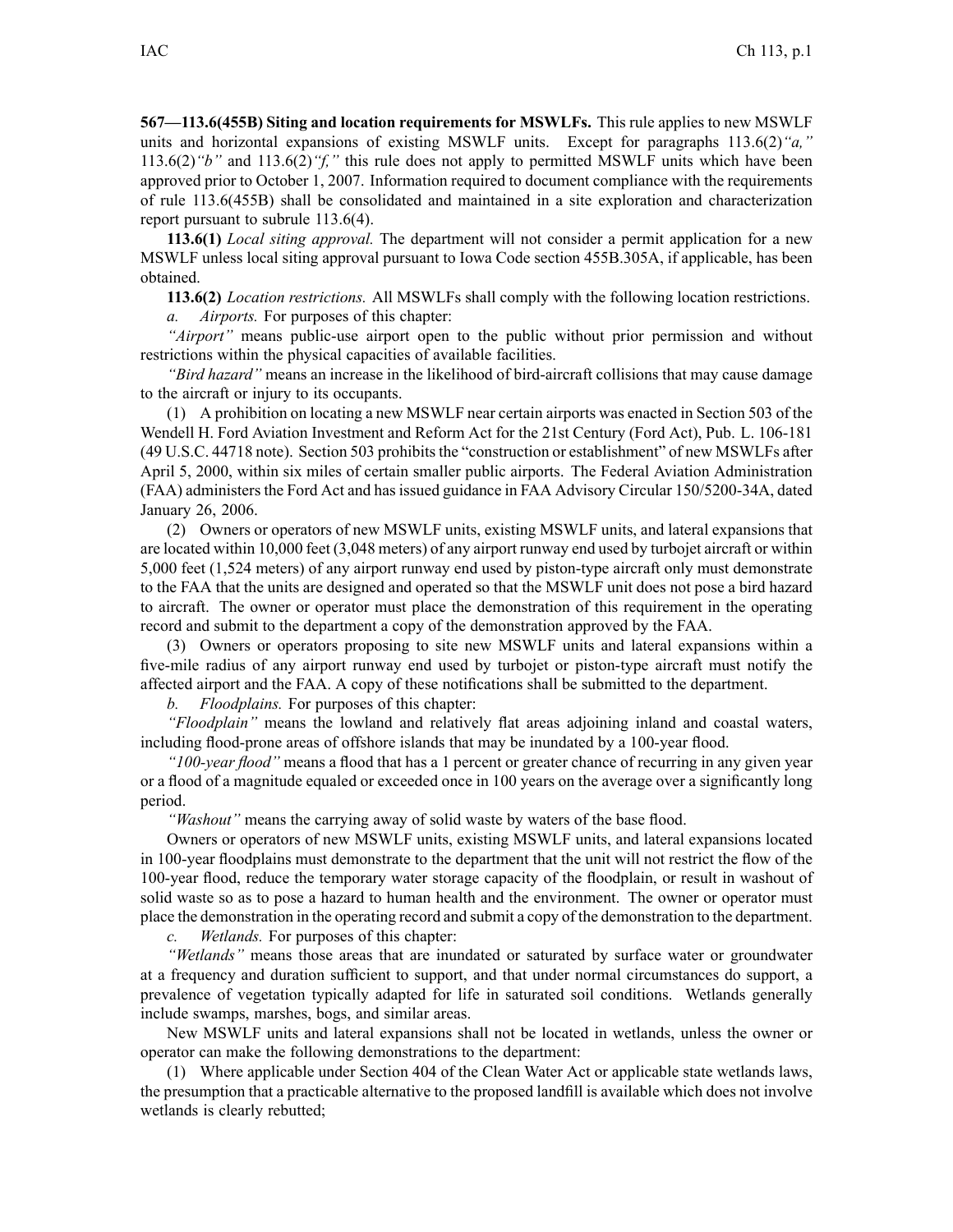**567—113.6(455B) Siting and location requirements for MSWLFs.** This rule applies to new MSWLF units and horizontal expansions of existing MSWLF units. Except for paragraphs 113.6(2)*"a,"* 113.6(2)*"b"* and 113.6(2)*"f,"* this rule does not apply to permitted MSWLF units which have been approved prior to October 1, 2007. Information required to document compliance with the requirements of rule 113.6(455B) shall be consolidated and maintained in <sup>a</sup> site exploration and characterization repor<sup>t</sup> pursuan<sup>t</sup> to subrule 113.6(4).

**113.6(1)** *Local siting approval.* The department will not consider <sup>a</sup> permit application for <sup>a</sup> new MSWLF unless local siting approval pursuan<sup>t</sup> to Iowa Code section 455B.305A, if applicable, has been obtained.

**113.6(2)** *Location restrictions.* All MSWLFs shall comply with the following location restrictions.

*a. Airports.* For purposes of this chapter:

*"Airport"* means public-use airport open to the public without prior permission and without restrictions within the physical capacities of available facilities.

*"Bird hazard"* means an increase in the likelihood of bird-aircraft collisions that may cause damage to the aircraft or injury to its occupants.

(1) A prohibition on locating <sup>a</sup> new MSWLF near certain airports was enacted in Section 503 of the Wendell H. Ford Aviation Investment and Reform Act for the 21st Century (Ford Act), Pub. L. 106-181 (49 U.S.C. 44718 note). Section 503 prohibitsthe "construction or establishment" of new MSWLFs after April 5, 2000, within six miles of certain smaller public airports. The Federal Aviation Administration (FAA) administers the Ford Act and has issued guidance in FAA Advisory Circular 150/5200-34A, dated January 26, 2006.

(2) Owners or operators of new MSWLF units, existing MSWLF units, and lateral expansions that are located within 10,000 feet (3,048 meters) of any airport runway end used by turbojet aircraft or within 5,000 feet (1,524 meters) of any airport runway end used by piston-type aircraft only must demonstrate to the FAA that the units are designed and operated so that the MSWLF unit does not pose <sup>a</sup> bird hazard to aircraft. The owner or operator must place the demonstration of this requirement in the operating record and submit to the department <sup>a</sup> copy of the demonstration approved by the FAA.

(3) Owners or operators proposing to site new MSWLF units and lateral expansions within <sup>a</sup> five-mile radius of any airport runway end used by turbojet or piston-type aircraft must notify the affected airport and the FAA. Acopy of these notifications shall be submitted to the department.

*b. Floodplains.* For purposes of this chapter:

*"Floodplain"* means the lowland and relatively flat areas adjoining inland and coastal waters, including flood-prone areas of offshore islands that may be inundated by <sup>a</sup> 100-year flood.

*"100-year flood"* means <sup>a</sup> flood that has <sup>a</sup> 1 percen<sup>t</sup> or greater chance of recurring in any given year or <sup>a</sup> flood of <sup>a</sup> magnitude equaled or exceeded once in 100 years on the average over <sup>a</sup> significantly long period.

*"Washout"* means the carrying away of solid waste by waters of the base flood.

Owners or operators of new MSWLF units, existing MSWLF units, and lateral expansions located in 100-year floodplains must demonstrate to the department that the unit will not restrict the flow of the 100-year flood, reduce the temporary water storage capacity of the floodplain, or result in washout of solid waste so as to pose <sup>a</sup> hazard to human health and the environment. The owner or operator must place the demonstration in the operating record and submit <sup>a</sup> copy of the demonstration to the department.

*c. Wetlands.* For purposes of this chapter:

*"Wetlands"* means those areas that are inundated or saturated by surface water or groundwater at <sup>a</sup> frequency and duration sufficient to support, and that under normal circumstances do support, <sup>a</sup> prevalence of vegetation typically adapted for life in saturated soil conditions. Wetlands generally include swamps, marshes, bogs, and similar areas.

New MSWLF units and lateral expansions shall not be located in wetlands, unless the owner or operator can make the following demonstrations to the department:

(1) Where applicable under Section 404 of the Clean Water Act or applicable state wetlands laws, the presumption that <sup>a</sup> practicable alternative to the proposed landfill is available which does not involve wetlands is clearly rebutted;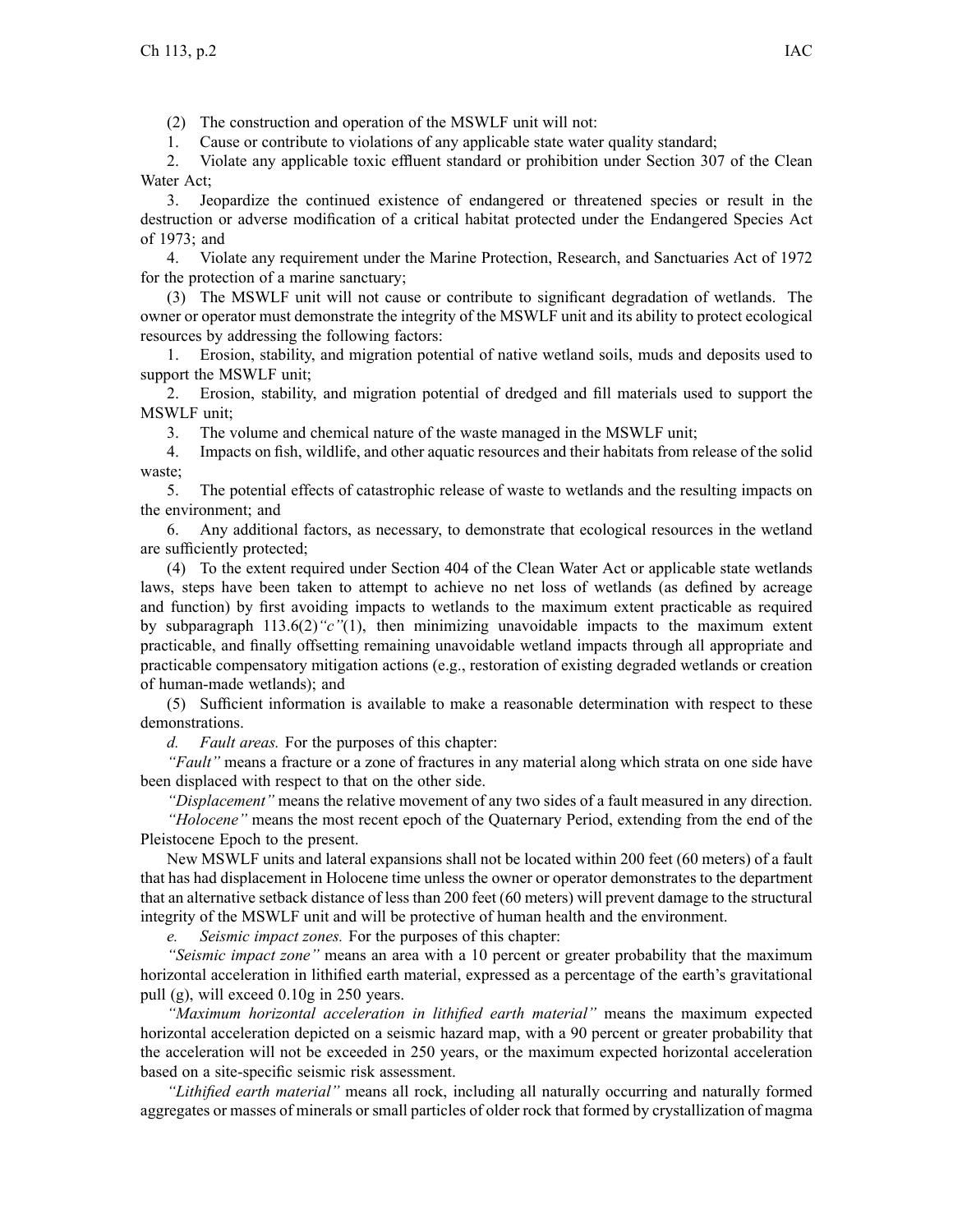(2) The construction and operation of the MSWLF unit will not:

1. Cause or contribute to violations of any applicable state water quality standard;

2. Violate any applicable toxic effluent standard or prohibition under Section 307 of the Clean Water Act;

3. Jeopardize the continued existence of endangered or threatened species or result in the destruction or adverse modification of <sup>a</sup> critical habitat protected under the Endangered Species Act of 1973; and

4. Violate any requirement under the Marine Protection, Research, and Sanctuaries Act of 1972 for the protection of <sup>a</sup> marine sanctuary;

(3) The MSWLF unit will not cause or contribute to significant degradation of wetlands. The owner or operator must demonstrate the integrity of the MSWLF unit and its ability to protect ecological resources by addressing the following factors:

1. Erosion, stability, and migration potential of native wetland soils, muds and deposits used to suppor<sup>t</sup> the MSWLF unit;

2. Erosion, stability, and migration potential of dredged and fill materials used to suppor<sup>t</sup> the MSWLF unit;

3. The volume and chemical nature of the waste managed in the MSWLF unit;

4. Impacts on fish, wildlife, and other aquatic resources and their habitats from release of the solid waste;

5. The potential effects of catastrophic release of waste to wetlands and the resulting impacts on the environment; and

6. Any additional factors, as necessary, to demonstrate that ecological resources in the wetland are sufficiently protected;

(4) To the extent required under Section 404 of the Clean Water Act or applicable state wetlands laws, steps have been taken to attempt to achieve no net loss of wetlands (as defined by acreage and function) by first avoiding impacts to wetlands to the maximum extent practicable as required by subparagraph 113.6(2)*"c"*(1), then minimizing unavoidable impacts to the maximum extent practicable, and finally offsetting remaining unavoidable wetland impacts through all appropriate and practicable compensatory mitigation actions (e.g., restoration of existing degraded wetlands or creation of human-made wetlands); and

(5) Sufficient information is available to make <sup>a</sup> reasonable determination with respec<sup>t</sup> to these demonstrations.

*d. Fault areas.* For the purposes of this chapter:

*"Fault"* means <sup>a</sup> fracture or <sup>a</sup> zone of fractures in any material along which strata on one side have been displaced with respec<sup>t</sup> to that on the other side.

*"Displacement"* means the relative movement of any two sides of <sup>a</sup> fault measured in any direction. *"Holocene"* means the most recent epoch of the Quaternary Period, extending from the end of the Pleistocene Epoch to the present.

New MSWLF units and lateral expansions shall not be located within 200 feet (60 meters) of <sup>a</sup> fault that has had displacement in Holocene time unless the owner or operator demonstrates to the department that an alternative setback distance of less than 200 feet (60 meters) will preven<sup>t</sup> damage to the structural integrity of the MSWLF unit and will be protective of human health and the environment.

*e. Seismic impact zones.* For the purposes of this chapter:

*"Seismic impact zone"* means an area with <sup>a</sup> 10 percen<sup>t</sup> or greater probability that the maximum horizontal acceleration in lithified earth material, expressed as <sup>a</sup> percentage of the earth's gravitational pull (g), will exceed 0.10g in 250 years.

*"Maximum horizontal acceleration in lithified earth material"* means the maximum expected horizontal acceleration depicted on <sup>a</sup> seismic hazard map, with <sup>a</sup> 90 percen<sup>t</sup> or greater probability that the acceleration will not be exceeded in 250 years, or the maximum expected horizontal acceleration based on <sup>a</sup> site-specific seismic risk assessment.

*"Lithified earth material"* means all rock, including all naturally occurring and naturally formed aggregates or masses of minerals or small particles of older rock that formed by crystallization of magma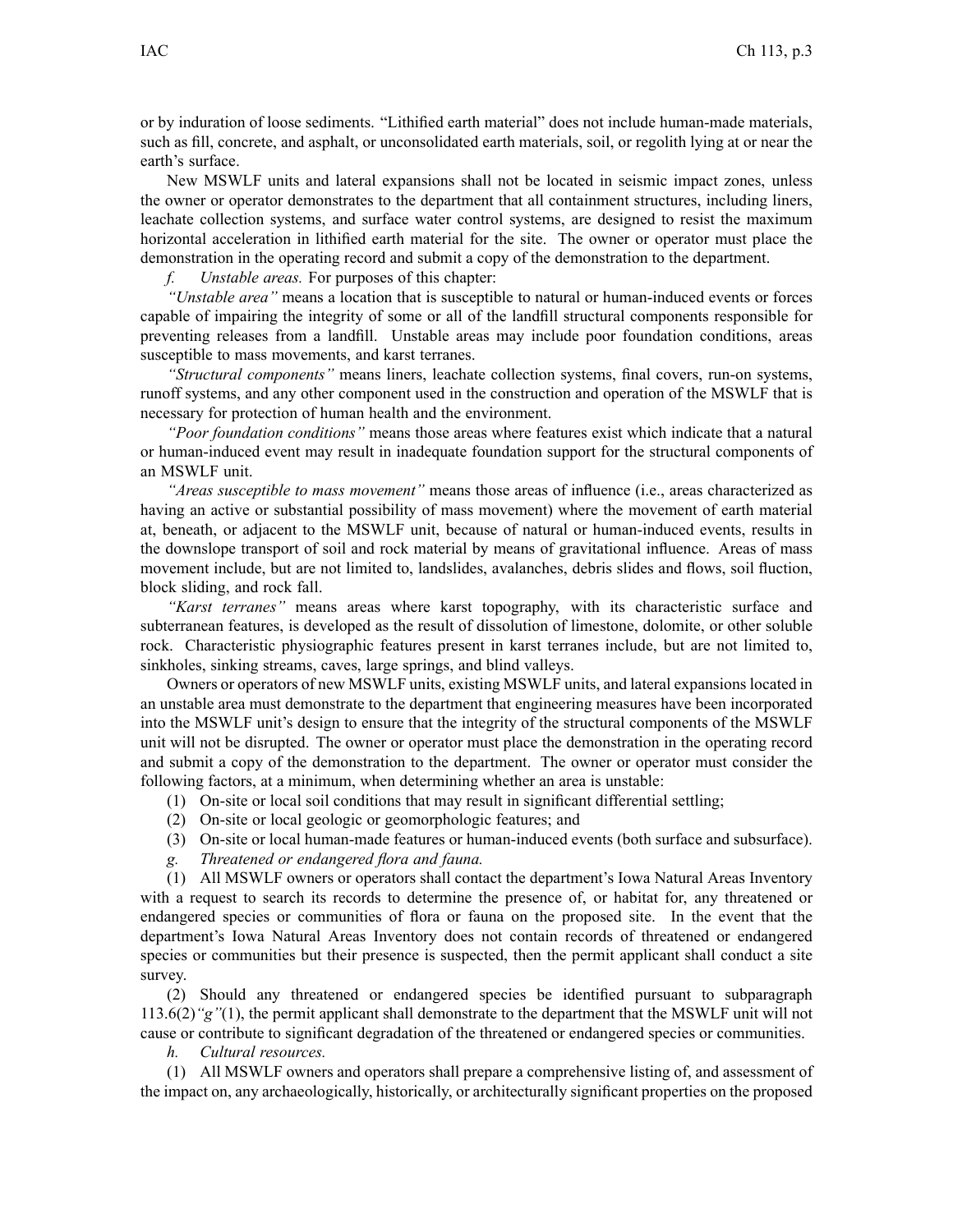or by induration of loose sediments. "Lithified earth material" does not include human-made materials, such as fill, concrete, and asphalt, or unconsolidated earth materials, soil, or regolith lying at or near the earth's surface.

New MSWLF units and lateral expansions shall not be located in seismic impact zones, unless the owner or operator demonstrates to the department that all containment structures, including liners, leachate collection systems, and surface water control systems, are designed to resist the maximum horizontal acceleration in lithified earth material for the site. The owner or operator must place the demonstration in the operating record and submit <sup>a</sup> copy of the demonstration to the department.

*f. Unstable areas.* For purposes of this chapter:

*"Unstable area"* means <sup>a</sup> location that is susceptible to natural or human-induced events or forces capable of impairing the integrity of some or all of the landfill structural components responsible for preventing releases from <sup>a</sup> landfill. Unstable areas may include poor foundation conditions, areas susceptible to mass movements, and karst terranes.

*"Structural components"* means liners, leachate collection systems, final covers, run-on systems, runoff systems, and any other componen<sup>t</sup> used in the construction and operation of the MSWLF that is necessary for protection of human health and the environment.

*"Poor foundation conditions"* means those areas where features exist which indicate that <sup>a</sup> natural or human-induced event may result in inadequate foundation suppor<sup>t</sup> for the structural components of an MSWLF unit.

*"Areas susceptible to mass movement"* means those areas of influence (i.e., areas characterized as having an active or substantial possibility of mass movement) where the movement of earth material at, beneath, or adjacent to the MSWLF unit, because of natural or human-induced events, results in the downslope transport of soil and rock material by means of gravitational influence. Areas of mass movement include, but are not limited to, landslides, avalanches, debris slides and flows, soil fluction, block sliding, and rock fall.

*"Karst terranes"* means areas where karst topography, with its characteristic surface and subterranean features, is developed as the result of dissolution of limestone, dolomite, or other soluble rock. Characteristic physiographic features presen<sup>t</sup> in karst terranes include, but are not limited to, sinkholes, sinking streams, caves, large springs, and blind valleys.

Owners or operators of new MSWLF units, existing MSWLF units, and lateral expansions located in an unstable area must demonstrate to the department that engineering measures have been incorporated into the MSWLF unit's design to ensure that the integrity of the structural components of the MSWLF unit will not be disrupted. The owner or operator must place the demonstration in the operating record and submit <sup>a</sup> copy of the demonstration to the department. The owner or operator must consider the following factors, at <sup>a</sup> minimum, when determining whether an area is unstable:

- (1) On-site or local soil conditions that may result in significant differential settling;
- (2) On-site or local geologic or geomorphologic features; and
- (3) On-site or local human-made features or human-induced events (both surface and subsurface).
- *g. Threatened or endangered flora and fauna.*

(1) All MSWLF owners or operators shall contact the department's Iowa Natural Areas Inventory with <sup>a</sup> reques<sup>t</sup> to search its records to determine the presence of, or habitat for, any threatened or endangered species or communities of flora or fauna on the proposed site. In the event that the department's Iowa Natural Areas Inventory does not contain records of threatened or endangered species or communities but their presence is suspected, then the permit applicant shall conduct <sup>a</sup> site survey.

(2) Should any threatened or endangered species be identified pursuan<sup>t</sup> to subparagraph 113.6(2)*"g"*(1), the permit applicant shall demonstrate to the department that the MSWLF unit will not cause or contribute to significant degradation of the threatened or endangered species or communities.

*h. Cultural resources.*

(1) All MSWLF owners and operators shall prepare <sup>a</sup> comprehensive listing of, and assessment of the impact on, any archaeologically, historically, or architecturally significant properties on the proposed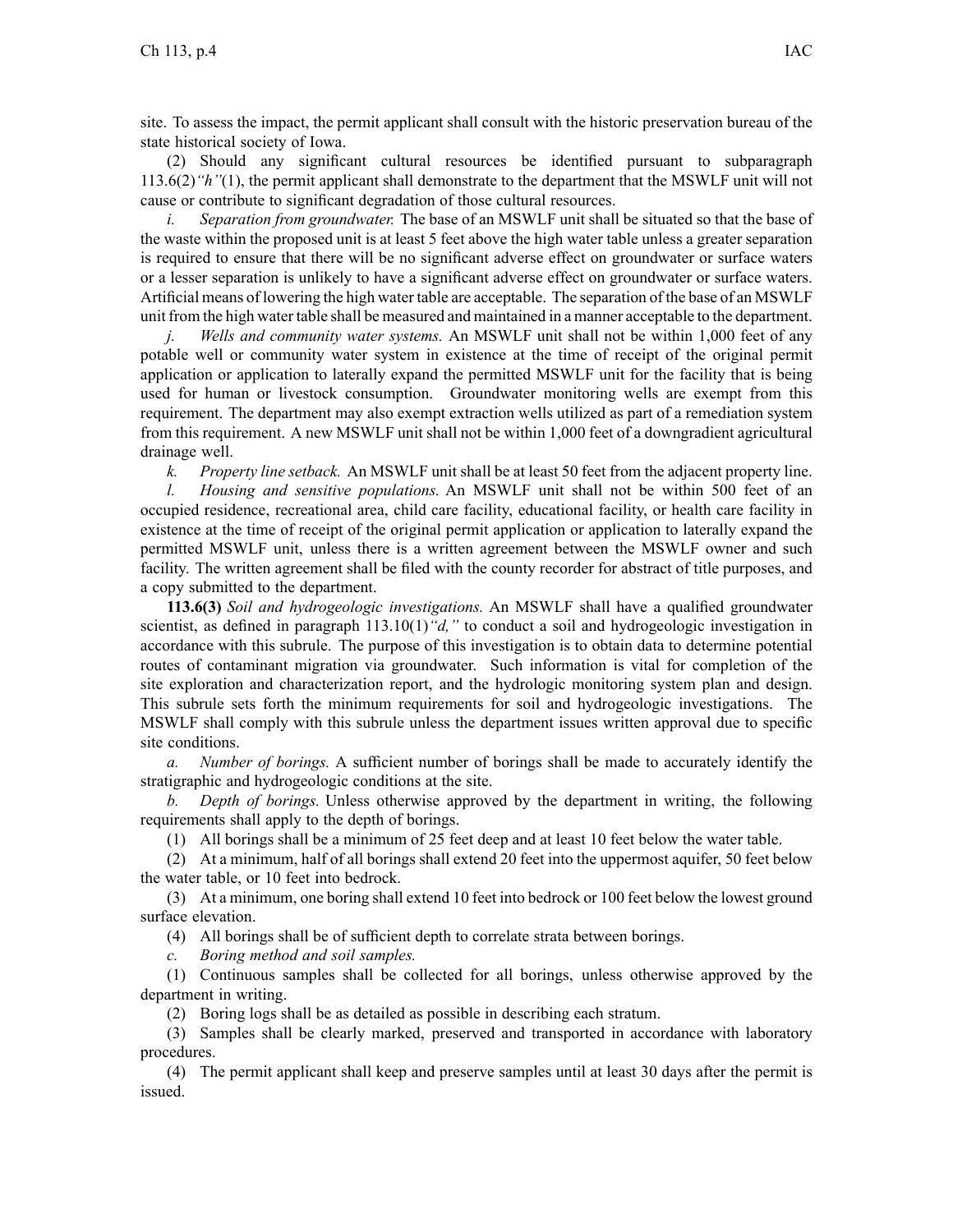site. To assess the impact, the permit applicant shall consult with the historic preservation bureau of the state historical society of Iowa.

(2) Should any significant cultural resources be identified pursuan<sup>t</sup> to subparagraph 113.6(2)*"h"*(1), the permit applicant shall demonstrate to the department that the MSWLF unit will not cause or contribute to significant degradation of those cultural resources.

*i. Separation from groundwater.* The base of an MSWLF unit shall be situated so that the base of the waste within the proposed unit is at least 5 feet above the high water table unless <sup>a</sup> greater separation is required to ensure that there will be no significant adverse effect on groundwater or surface waters or <sup>a</sup> lesser separation is unlikely to have <sup>a</sup> significant adverse effect on groundwater or surface waters. Artificial means of lowering the high water table are acceptable. The separation of the base of an MSWLF unit from the high water table shall be measured and maintained in <sup>a</sup> manner acceptable to the department.

*j. Wells and community water systems.* An MSWLF unit shall not be within 1,000 feet of any potable well or community water system in existence at the time of receipt of the original permit application or application to laterally expand the permitted MSWLF unit for the facility that is being used for human or livestock consumption. Groundwater monitoring wells are exemp<sup>t</sup> from this requirement. The department may also exemp<sup>t</sup> extraction wells utilized as par<sup>t</sup> of <sup>a</sup> remediation system from this requirement. A new MSWLF unit shall not be within 1,000 feet of <sup>a</sup> downgradient agricultural drainage well.

*k. Property line setback.* An MSWLF unit shall be at least 50 feet from the adjacent property line.

*l. Housing and sensitive populations.* An MSWLF unit shall not be within 500 feet of an occupied residence, recreational area, child care facility, educational facility, or health care facility in existence at the time of receipt of the original permit application or application to laterally expand the permitted MSWLF unit, unless there is <sup>a</sup> written agreemen<sup>t</sup> between the MSWLF owner and such facility. The written agreemen<sup>t</sup> shall be filed with the county recorder for abstract of title purposes, and <sup>a</sup> copy submitted to the department.

**113.6(3)** *Soil and hydrogeologic investigations.* An MSWLF shall have <sup>a</sup> qualified groundwater scientist, as defined in paragraph 113.10(1) "d," to conduct a soil and hydrogeologic investigation in accordance with this subrule. The purpose of this investigation is to obtain data to determine potential routes of contaminant migration via groundwater. Such information is vital for completion of the site exploration and characterization report, and the hydrologic monitoring system plan and design. This subrule sets forth the minimum requirements for soil and hydrogeologic investigations. The MSWLF shall comply with this subrule unless the department issues written approval due to specific site conditions.

*a. Number of borings.* A sufficient number of borings shall be made to accurately identify the stratigraphic and hydrogeologic conditions at the site.

*b. Depth of borings.* Unless otherwise approved by the department in writing, the following requirements shall apply to the depth of borings.

(1) All borings shall be <sup>a</sup> minimum of 25 feet deep and at least 10 feet below the water table.

(2) At <sup>a</sup> minimum, half of all borings shall extend 20 feet into the uppermos<sup>t</sup> aquifer, 50 feet below the water table, or 10 feet into bedrock.

(3) At <sup>a</sup> minimum, one boring shall extend 10 feet into bedrock or 100 feet below the lowest ground surface elevation.

(4) All borings shall be of sufficient depth to correlate strata between borings.

*c. Boring method and soil samples.*

(1) Continuous samples shall be collected for all borings, unless otherwise approved by the department in writing.

(2) Boring logs shall be as detailed as possible in describing each stratum.

(3) Samples shall be clearly marked, preserved and transported in accordance with laboratory procedures.

(4) The permit applicant shall keep and preserve samples until at least 30 days after the permit is issued.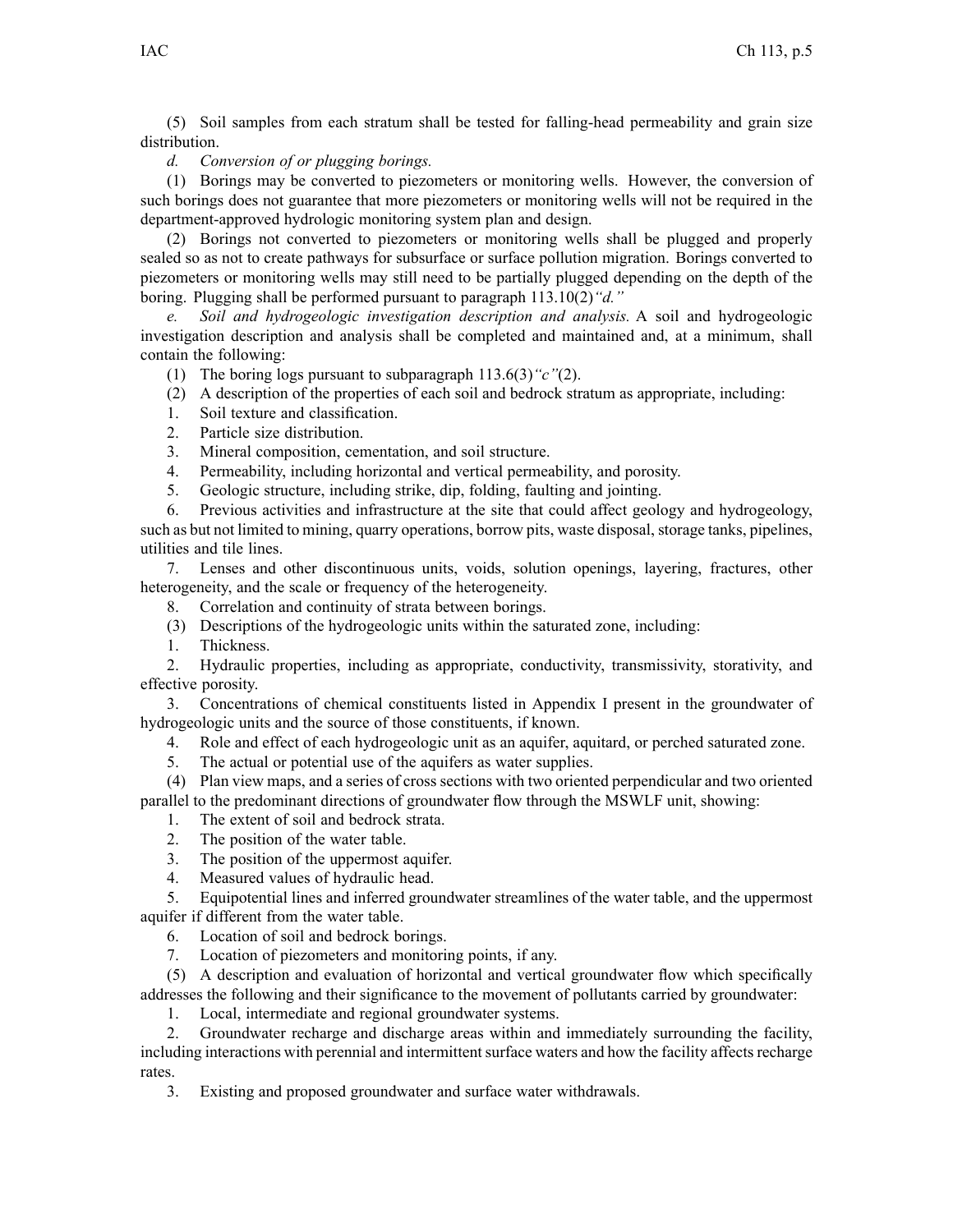(5) Soil samples from each stratum shall be tested for falling-head permeability and grain size distribution.

## *d. Conversion of or plugging borings.*

(1) Borings may be converted to piezometers or monitoring wells. However, the conversion of such borings does not guarantee that more piezometers or monitoring wells will not be required in the department-approved hydrologic monitoring system plan and design.

(2) Borings not converted to piezometers or monitoring wells shall be plugged and properly sealed so as not to create pathways for subsurface or surface pollution migration. Borings converted to piezometers or monitoring wells may still need to be partially plugged depending on the depth of the boring. Plugging shall be performed pursuan<sup>t</sup> to paragraph 113.10(2)*"d."*

*e. Soil and hydrogeologic investigation description and analysis.* A soil and hydrogeologic investigation description and analysis shall be completed and maintained and, at <sup>a</sup> minimum, shall contain the following:

- (1) The boring logs pursuan<sup>t</sup> to subparagraph 113.6(3)*"c"*(2).
- (2) A description of the properties of each soil and bedrock stratum as appropriate, including:
- 1. Soil texture and classification.
- 2. Particle size distribution.
- 3. Mineral composition, cementation, and soil structure.
- 4. Permeability, including horizontal and vertical permeability, and porosity.
- 5. Geologic structure, including strike, dip, folding, faulting and jointing.

6. Previous activities and infrastructure at the site that could affect geology and hydrogeology, such as but not limited to mining, quarry operations, borrow pits, waste disposal, storage tanks, pipelines, utilities and tile lines.

7. Lenses and other discontinuous units, voids, solution openings, layering, fractures, other heterogeneity, and the scale or frequency of the heterogeneity.

8. Correlation and continuity of strata between borings.

- (3) Descriptions of the hydrogeologic units within the saturated zone, including:
- 1. Thickness.

2. Hydraulic properties, including as appropriate, conductivity, transmissivity, storativity, and effective porosity.

3. Concentrations of chemical constituents listed in Appendix I presen<sup>t</sup> in the groundwater of hydrogeologic units and the source of those constituents, if known.

- 4. Role and effect of each hydrogeologic unit as an aquifer, aquitard, or perched saturated zone.
- 5. The actual or potential use of the aquifers as water supplies.

(4) Plan view maps, and <sup>a</sup> series of cross sections with two oriented perpendicular and two oriented parallel to the predominant directions of groundwater flow through the MSWLF unit, showing:

- 1. The extent of soil and bedrock strata.
- 2. The position of the water table.
- 3. The position of the uppermos<sup>t</sup> aquifer.
- 4. Measured values of hydraulic head.

5. Equipotential lines and inferred groundwater streamlines of the water table, and the uppermos<sup>t</sup> aquifer if different from the water table.

6. Location of soil and bedrock borings.

7. Location of piezometers and monitoring points, if any.

(5) A description and evaluation of horizontal and vertical groundwater flow which specifically addresses the following and their significance to the movement of pollutants carried by groundwater:

1. Local, intermediate and regional groundwater systems.

2. Groundwater recharge and discharge areas within and immediately surrounding the facility, including interactions with perennial and intermittent surface waters and how the facility affects recharge rates.

3. Existing and proposed groundwater and surface water withdrawals.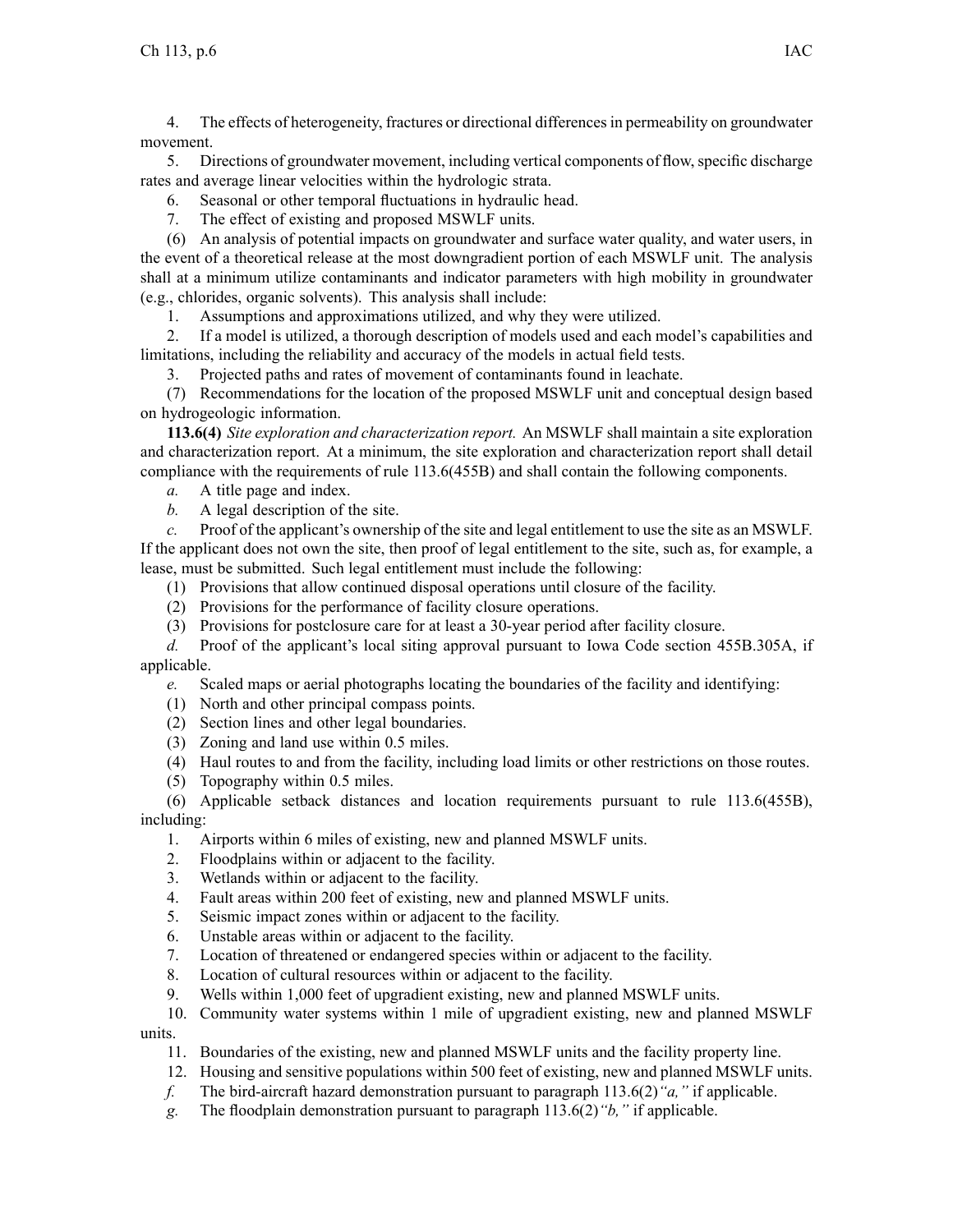4. The effects of heterogeneity, fractures or directional differencesin permeability on groundwater movement.

5. Directions of groundwater movement, including vertical components of flow, specific discharge rates and average linear velocities within the hydrologic strata.

- 6. Seasonal or other temporal fluctuations in hydraulic head.
- 7. The effect of existing and proposed MSWLF units.

(6) An analysis of potential impacts on groundwater and surface water quality, and water users, in the event of <sup>a</sup> theoretical release at the most downgradient portion of each MSWLF unit. The analysis shall at <sup>a</sup> minimum utilize contaminants and indicator parameters with high mobility in groundwater (e.g., chlorides, organic solvents). This analysis shall include:

1. Assumptions and approximations utilized, and why they were utilized.

2. If <sup>a</sup> model is utilized, <sup>a</sup> thorough description of models used and each model's capabilities and limitations, including the reliability and accuracy of the models in actual field tests.

3. Projected paths and rates of movement of contaminants found in leachate.

(7) Recommendations for the location of the proposed MSWLF unit and conceptual design based on hydrogeologic information.

**113.6(4)** *Site exploration and characterization report.* An MSWLF shall maintain <sup>a</sup> site exploration and characterization report. At <sup>a</sup> minimum, the site exploration and characterization repor<sup>t</sup> shall detail compliance with the requirements of rule 113.6(455B) and shall contain the following components.

- *a.* A title page and index.
- *b.* A legal description of the site.

*c.* Proof of the applicant's ownership of the site and legal entitlement to use the site as an MSWLF. If the applicant does not own the site, then proof of legal entitlement to the site, such as, for example, <sup>a</sup> lease, must be submitted. Such legal entitlement must include the following:

- (1) Provisions that allow continued disposal operations until closure of the facility.
- (2) Provisions for the performance of facility closure operations.
- (3) Provisions for postclosure care for at least <sup>a</sup> 30-year period after facility closure.

*d.* Proof of the applicant's local siting approval pursuan<sup>t</sup> to Iowa Code section 455B.305A, if applicable.

*e.* Scaled maps or aerial photographs locating the boundaries of the facility and identifying:

- (1) North and other principal compass points.
- (2) Section lines and other legal boundaries.
- (3) Zoning and land use within 0.5 miles.
- (4) Haul routes to and from the facility, including load limits or other restrictions on those routes.
- (5) Topography within 0.5 miles.

(6) Applicable setback distances and location requirements pursuan<sup>t</sup> to rule 113.6(455B), including:

- 1. Airports within 6 miles of existing, new and planned MSWLF units.
- 2. Floodplains within or adjacent to the facility.
- 3. Wetlands within or adjacent to the facility.
- 4. Fault areas within 200 feet of existing, new and planned MSWLF units.
- 5. Seismic impact zones within or adjacent to the facility.
- 6. Unstable areas within or adjacent to the facility.
- 7. Location of threatened or endangered species within or adjacent to the facility.
- 8. Location of cultural resources within or adjacent to the facility.
- 9. Wells within 1,000 feet of upgradient existing, new and planned MSWLF units.

10. Community water systems within 1 mile of upgradient existing, new and planned MSWLF units.

- 11. Boundaries of the existing, new and planned MSWLF units and the facility property line.
- 12. Housing and sensitive populations within 500 feet of existing, new and planned MSWLF units.
- *f.* The bird-aircraft hazard demonstration pursuan<sup>t</sup> to paragraph 113.6(2)*"a,"* if applicable.
- *g.* The floodplain demonstration pursuan<sup>t</sup> to paragraph 113.6(2)*"b,"* if applicable.